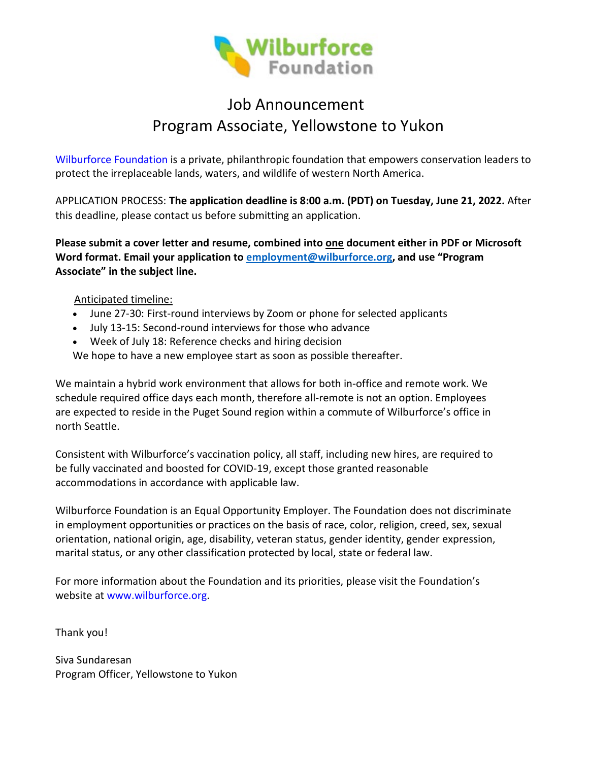

# Job Announcement Program Associate, Yellowstone to Yukon

[Wilburforce Foundation](http://www.wilburforce.org/) is a private, philanthropic foundation that empowers conservation leaders to protect the irreplaceable lands, waters, and wildlife of western North America.

APPLICATION PROCESS: **The application deadline is 8:00 a.m. (PDT) on Tuesday, June 21, 2022.** After this deadline, please contact us before submitting an application.

**Please submit a cover letter and resume, combined into one document either in PDF or Microsoft Word format. Email your application to [employment@](mailto:employment@wilburforce.org)wilburforce.org, and use "Program Associate" in the subject line.** 

Anticipated timeline:

- June 27-30: First-round interviews by Zoom or phone for selected applicants
- July 13-15: Second-round interviews for those who advance
- Week of July 18: Reference checks and hiring decision

We hope to have a new employee start as soon as possible thereafter.

We maintain a hybrid work environment that allows for both in-office and remote work. We schedule required office days each month, therefore all-remote is not an option. Employees are expected to reside in the Puget Sound region within a commute of Wilburforce's office in north Seattle.

Consistent with Wilburforce's vaccination policy, all staff, including new hires, are required to be fully vaccinated and boosted for COVID-19, except those granted reasonable accommodations in accordance with applicable law.

Wilburforce Foundation is an Equal Opportunity Employer. The Foundation does not discriminate in employment opportunities or practices on the basis of race, color, religion, creed, sex, sexual orientation, national origin, age, disability, veteran status, gender identity, gender expression, marital status, or any other classification protected by local, state or federal law.

For more information about the Foundation and its priorities, please visit the Foundation's website at [www.wilburforce.org.](http://www.wilburforce.org/)

Thank you!

Siva Sundaresan Program Officer, Yellowstone to Yukon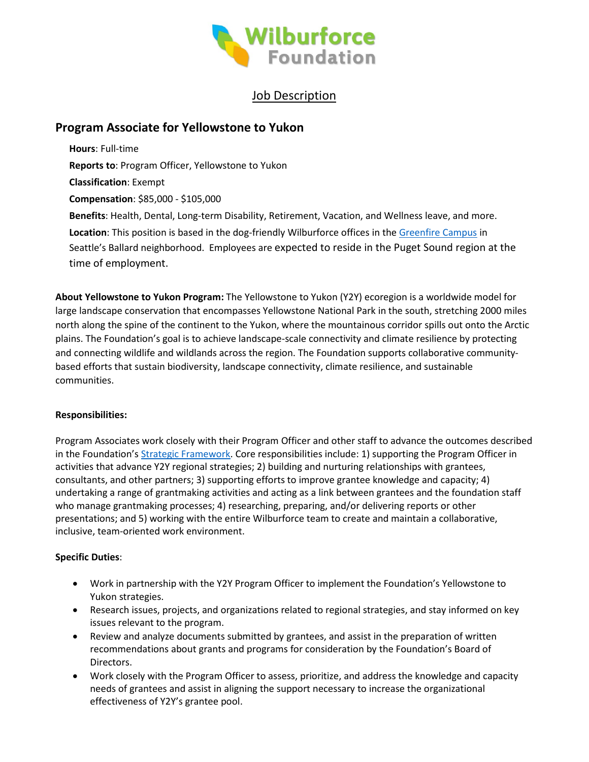

# Job Description

# **Program Associate for Yellowstone to Yukon**

**Hours**: Full-time **Reports to**: Program Officer, Yellowstone to Yukon **Classification**: Exempt **Compensation**: \$85,000 - \$105,000 **Benefits**: Health, Dental, Long-term Disability, Retirement, Vacation, and Wellness leave, and more. **Location**: This position is based in the dog-friendly Wilburforce offices in the [Greenfire Campus](https://www.greenfirecampus.com/) in Seattle's Ballard neighborhood. Employees are expected to reside in the Puget Sound region at the time of employment.

**About Yellowstone to Yukon Program:** The Yellowstone to Yukon (Y2Y) ecoregion is a worldwide model for large landscape conservation that encompasses Yellowstone National Park in the south, stretching 2000 miles north along the spine of the continent to the Yukon, where the mountainous corridor spills out onto the Arctic plains. The Foundation's goal is to achieve landscape-scale connectivity and climate resilience by protecting and connecting wildlife and wildlands across the region. The Foundation supports collaborative communitybased efforts that sustain biodiversity, landscape connectivity, climate resilience, and sustainable communities.

#### **Responsibilities:**

Program Associates work closely with their Program Officer and other staff to advance the outcomes described in the Foundation'[s Strategic Framework.](https://wilburforce.org/wp-content/uploads/2016/09/Wilburforce_Strategic_Framework_2025.pdf) Core responsibilities include: 1) supporting the Program Officer in activities that advance Y2Y regional strategies; 2) building and nurturing relationships with grantees, consultants, and other partners; 3) supporting efforts to improve grantee knowledge and capacity; 4) undertaking a range of grantmaking activities and acting as a link between grantees and the foundation staff who manage grantmaking processes; 4) researching, preparing, and/or delivering reports or other presentations; and 5) working with the entire Wilburforce team to create and maintain a collaborative, inclusive, team-oriented work environment.

### **Specific Duties**:

- Work in partnership with the Y2Y Program Officer to implement the Foundation's Yellowstone to Yukon strategies.
- Research issues, projects, and organizations related to regional strategies, and stay informed on key issues relevant to the program.
- Review and analyze documents submitted by grantees, and assist in the preparation of written recommendations about grants and programs for consideration by the Foundation's Board of Directors.
- Work closely with the Program Officer to assess, prioritize, and address the knowledge and capacity needs of grantees and assist in aligning the support necessary to increase the organizational effectiveness of Y2Y's grantee pool.